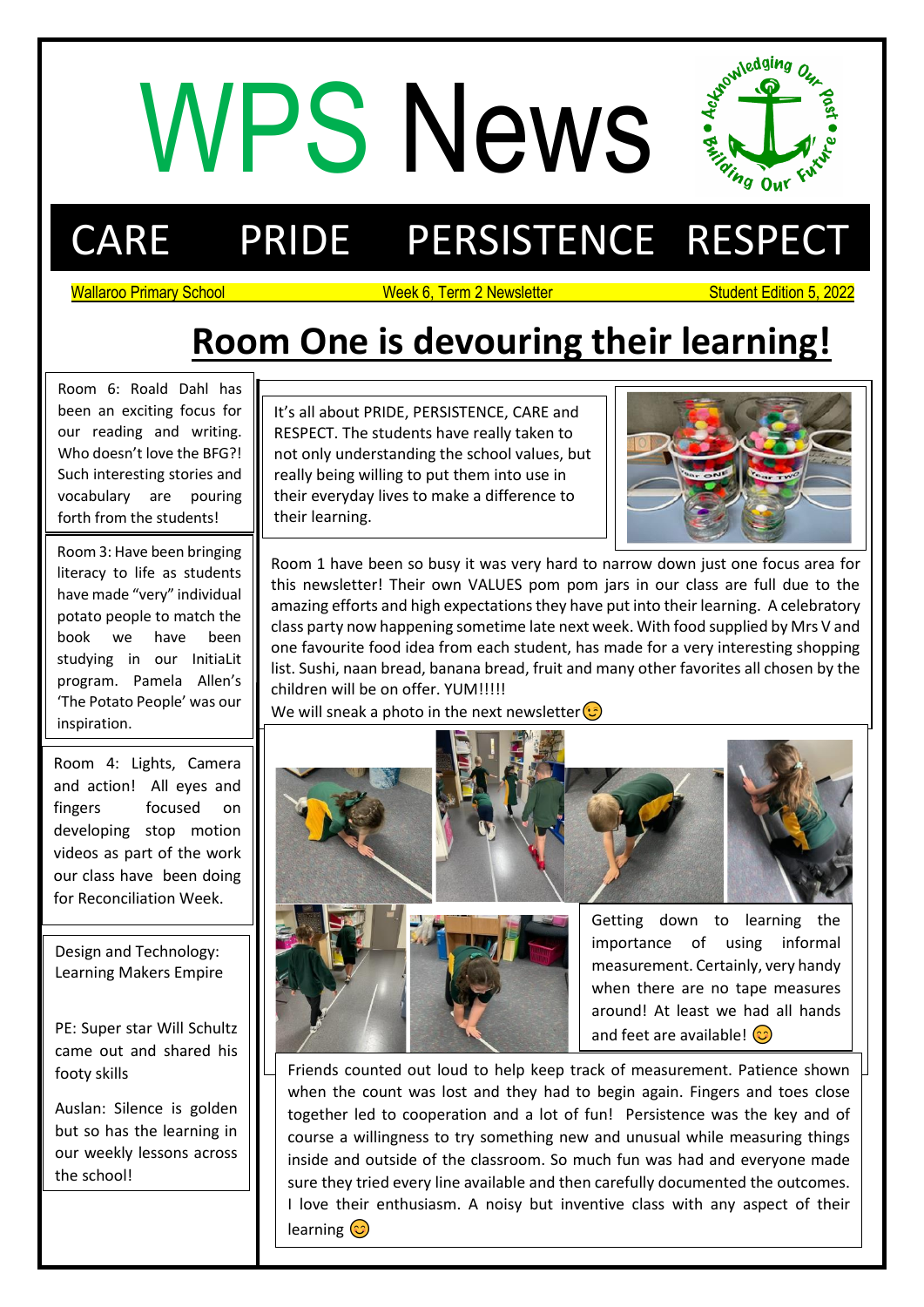# WPS News End



## CARE PRIDE PERSISTENCE RESPECT

Wallaroo Primary School Newsletter Student Edition 5, 2022

### **Room One is devouring their learning!**

Room 6: Roald Dahl has been an exciting focus for our reading and writing. Who doesn't love the BFG?! Such interesting stories and vocabulary are pouring forth from the students!

Room 3: Have been bringing literacy to life as students have made "very" individual potato people to match the book we have been studying in our InitiaLit program. Pamela Allen's 'The Potato People' was our inspiration.

Room 4: Lights, Camera and action! All eyes and fingers focused on developing stop motion videos as part of the work our class have been doing for Reconciliation Week.

Design and Technology: Learning Makers Empire

PE: Super star Will Schultz came out and shared his footy skills

Auslan: Silence is golden but so has the learning in our weekly lessons across the school!

j not only understanding the school values, but It's all about PRIDE, PERSISTENCE, CARE and RESPECT. The students have really taken to really being willing to put them into use in their everyday lives to make a difference to their learning.



Room 1 have been so busy it was very hard to narrow down just one focus area for this newsletter! Their own VALUES pom pom jars in our class are full due to the amazing efforts and high expectations they have put into their learning. A celebratory class party now happening sometime late next week. With food supplied by Mrs V and one favourite food idea from each student, has made for a very interesting shopping list. Sushi, naan bread, banana bread, fruit and many other favorites all chosen by the children will be on offer. YUM!!!!!

We will sneak a photo in the next newsletter  $\circled{c}$ 





importance of using informal measurement. Certainly, very handy when there are no tape measures around! At least we had all hands and feet are available!  $\odot$ 

Friends counted out loud to help keep track of measurement. Patience shown when the count was lost and they had to begin again. Fingers and toes close together led to cooperation and a lot of fun! Persistence was the key and of course a willingness to try something new and unusual while measuring things inside and outside of the classroom. So much fun was had and everyone made sure they tried every line available and then carefully documented the outcomes. I love their enthusiasm. A noisy but inventive class with any aspect of their learning  $\odot$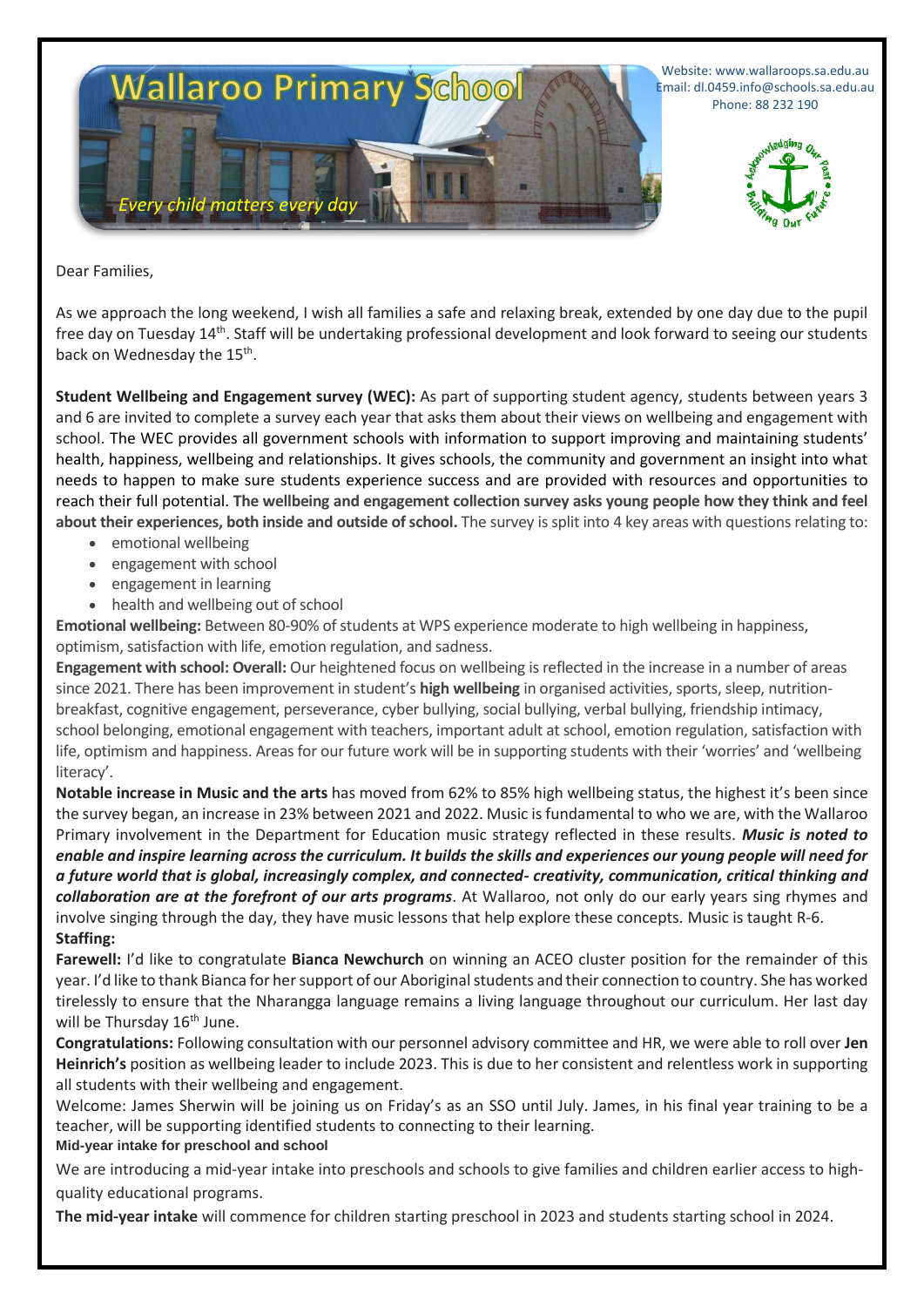

Website: www.wallaroops.sa.edu.au Email: dl.0459.info@schools.sa.edu.au Phone: 88 232 190



Dear Families,

As we approach the long weekend, I wish all families a safe and relaxing break, extended by one day due to the pupil free day on Tuesday 14th. Staff will be undertaking professional development and look forward to seeing our students back on Wednesday the 15<sup>th</sup>.

**Student Wellbeing and Engagement survey (WEC):** As part of supporting student agency, students between years 3 and 6 are invited to complete a survey each year that asks them about their views on wellbeing and engagement with school. The WEC provides all government schools with information to support improving and maintaining students' health, happiness, wellbeing and relationships. It gives schools, the community and government an insight into what needs to happen to make sure students experience success and are provided with resources and opportunities to reach their full potential. **The wellbeing and engagement collection survey asks young people how they think and feel about their experiences, both inside and outside of school.** The survey is split into 4 key areas with questions relating to:

- emotional wellbeing
- engagement with school
- engagement in learning
- health and wellbeing out of school

**Emotional wellbeing:** Between 80-90% of students at WPS experience moderate to high wellbeing in happiness, optimism, satisfaction with life, emotion regulation, and sadness.

**Engagement with school: Overall:** Our heightened focus on wellbeing is reflected in the increase in a number of areas since 2021. There has been improvement in student's **high wellbeing** in organised activities, sports, sleep, nutritionbreakfast, cognitive engagement, perseverance, cyber bullying, social bullying, verbal bullying, friendship intimacy, school belonging, emotional engagement with teachers, important adult at school, emotion regulation, satisfaction with life, optimism and happiness. Areas for our future work will be in supporting students with their 'worries' and 'wellbeing literacy'.

**Notable increase in Music and the arts** has moved from 62% to 85% high wellbeing status, the highest it's been since the survey began, an increase in 23% between 2021 and 2022. Music is fundamental to who we are, with the Wallaroo Primary involvement in the Department for Education music strategy reflected in these results. *Music is noted to enable and inspire learning across the curriculum. It builds the skills and experiences our young people will need for a future world that is global, increasingly complex, and connected- creativity, communication, critical thinking and collaboration are at the forefront of our arts programs*. At Wallaroo, not only do our early years sing rhymes and involve singing through the day, they have music lessons that help explore these concepts. Music is taught R-6. **Staffing:** 

**Farewell:** I'd like to congratulate **Bianca Newchurch** on winning an ACEO cluster position for the remainder of this year. I'd like to thank Bianca for her support of our Aboriginal students and their connection to country. She has worked tirelessly to ensure that the Nharangga language remains a living language throughout our curriculum. Her last day will be Thursday 16<sup>th</sup> June.

**Congratulations:** Following consultation with our personnel advisory committee and HR, we were able to roll over **Jen Heinrich's** position as wellbeing leader to include 2023. This is due to her consistent and relentless work in supporting all students with their wellbeing and engagement.

Welcome: James Sherwin will be joining us on Friday's as an SSO until July. James, in his final year training to be a teacher, will be supporting identified students to connecting to their learning. **Mid-year intake for preschool and school**

We are introducing a mid-year intake into preschools and schools to give families and children earlier access to highquality educational programs.

**The mid-year intake** will commence for children starting preschool in 2023 and students starting school in 2024.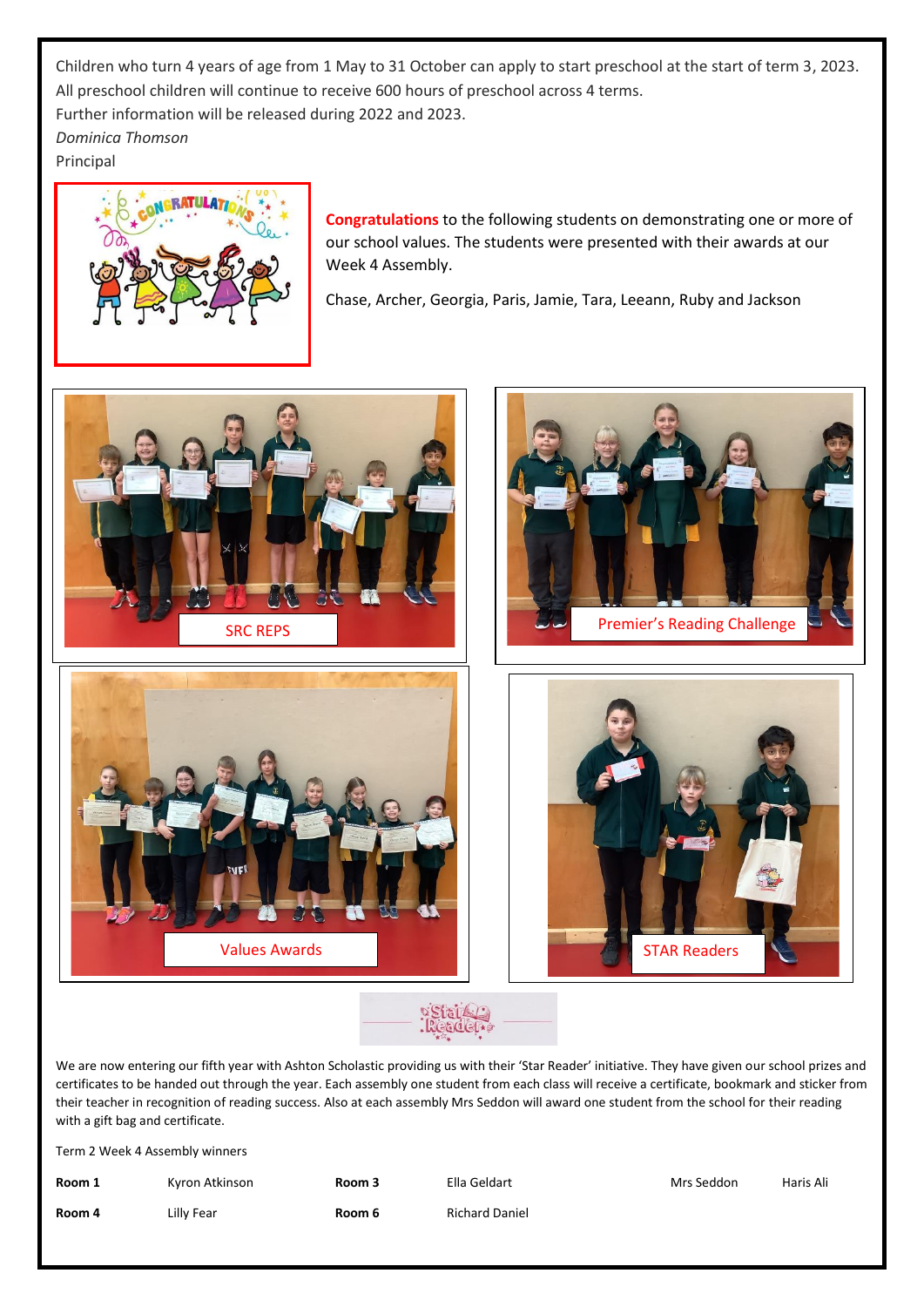Children who turn 4 years of age from 1 May to 31 October can apply to start preschool at the start of term 3, 2023. All preschool children will continue to receive 600 hours of preschool across 4 terms. Further information will be released during 2022 and 2023. *Dominica Thomson* Principal



**Congratulations** to the following students on demonstrating one or more of our school values. The students were presented with their awards at our Week 4 Assembly.

Chase, Archer, Georgia, Paris, Jamie, Tara, Leeann, Ruby and Jackson





We are now entering our fifth year with Ashton Scholastic providing us with their 'Star Reader' initiative. They have given our school prizes and certificates to be handed out through the year. Each assembly one student from each class will receive a certificate, bookmark and sticker from their teacher in recognition of reading success. Also at each assembly Mrs Seddon will award one student from the school for their reading with a gift bag and certificate.

Term 2 Week 4 Assembly winners

| Room 1 | Kyron Atkinson | Room 3 | Ella Geldart          | Mrs Seddon | Haris Ali |
|--------|----------------|--------|-----------------------|------------|-----------|
| Room 4 | Lilly Fear     | Room 6 | <b>Richard Daniel</b> |            |           |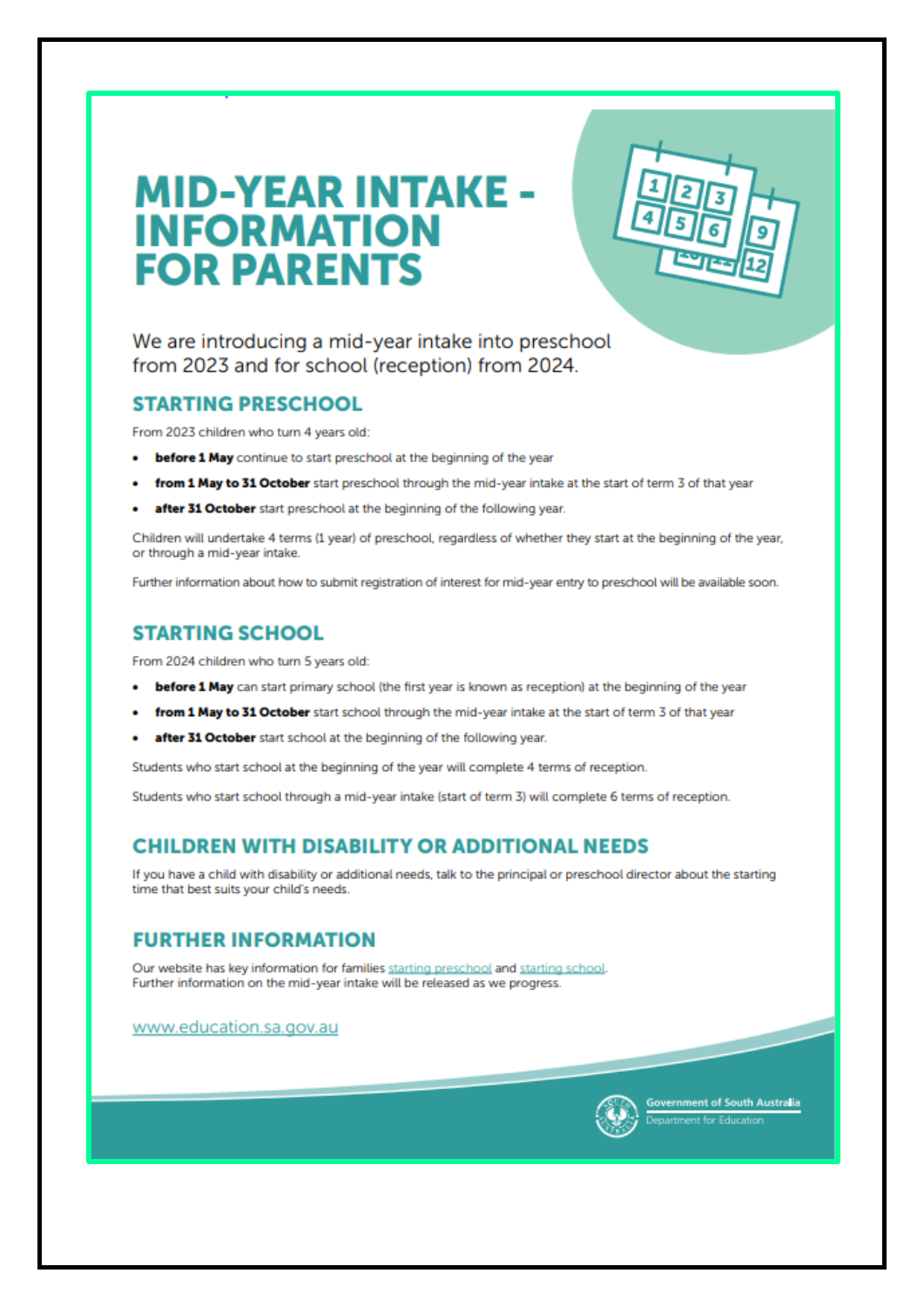## **MID-YEAR INTAKE -INFORMATION FOR PARENTS**

We are introducing a mid-year intake into preschool from 2023 and for school (reception) from 2024.

#### **STARTING PRESCHOOL**

From 2023 children who turn 4 years old:

- before 1 May continue to start preschool at the beginning of the year
- from 1 May to 31 October start preschool through the mid-year intake at the start of term 3 of that year
- after 31 October start preschool at the beginning of the following year.

Children will undertake 4 terms (1 year) of preschool, regardless of whether they start at the beginning of the year, or through a mid-year intake.

Further information about how to submit registration of interest for mid-year entry to preschool will be available soon.

#### **STARTING SCHOOL**

From 2024 children who turn 5 years old:

- before 1 May can start primary school (the first year is known as reception) at the beginning of the year
- from 1 May to 31 October start school through the mid-year intake at the start of term 3 of that year
- after 31 October start school at the beginning of the following year.

Students who start school at the beginning of the year will complete 4 terms of reception.

Students who start school through a mid-year intake (start of term 3) will complete 6 terms of reception.

#### **CHILDREN WITH DISABILITY OR ADDITIONAL NEEDS**

If you have a child with disability or additional needs, talk to the principal or preschool director about the starting time that best suits your child's needs.

#### **FURTHER INFORMATION**

Our website has key information for families starting preschool and starting school. Further information on the mid-year intake will be released as we progress.

www.education.sa.gov.au



mment of South Australia